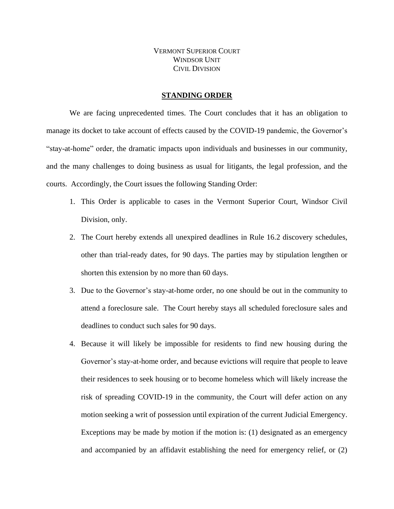VERMONT SUPERIOR COURT WINDSOR **I** INIT CIVIL DIVISION

## **STANDING ORDER**

We are facing unprecedented times. The Court concludes that it has an obligation to manage its docket to take account of effects caused by the COVID-19 pandemic, the Governor's "stay-at-home" order, the dramatic impacts upon individuals and businesses in our community, and the many challenges to doing business as usual for litigants, the legal profession, and the courts. Accordingly, the Court issues the following Standing Order:

- 1. This Order is applicable to cases in the Vermont Superior Court, Windsor Civil Division, only.
- 2. The Court hereby extends all unexpired deadlines in Rule 16.2 discovery schedules, other than trial-ready dates, for 90 days. The parties may by stipulation lengthen or shorten this extension by no more than 60 days.
- 3. Due to the Governor's stay-at-home order, no one should be out in the community to attend a foreclosure sale. The Court hereby stays all scheduled foreclosure sales and deadlines to conduct such sales for 90 days.
- 4. Because it will likely be impossible for residents to find new housing during the Governor's stay-at-home order, and because evictions will require that people to leave their residences to seek housing or to become homeless which will likely increase the risk of spreading COVID-19 in the community, the Court will defer action on any motion seeking a writ of possession until expiration of the current Judicial Emergency. Exceptions may be made by motion if the motion is: (1) designated as an emergency and accompanied by an affidavit establishing the need for emergency relief, or (2)